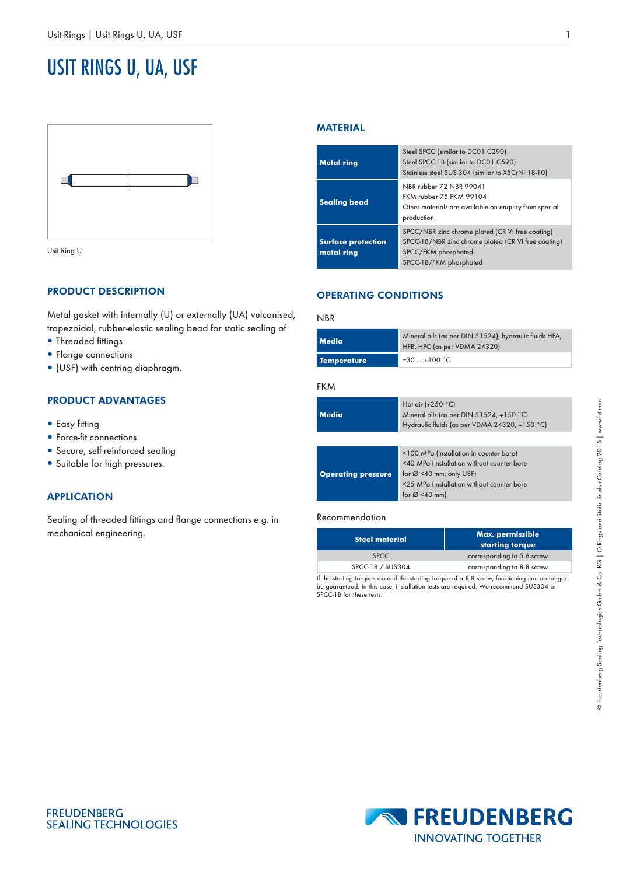# USIT RINGS U, UA, USF



Usit Ring U

# PRODUCT DESCRIPTION

Metal gasket with internally (U) or externally (UA) vulcanised, trapezoidal, rubber-elastic sealing bead for static sealing of

- Threaded fittings
- Flange connections
- (USF) with centring diaphragm.

## PRODUCT ADVANTAGES

- Easy fitting
- Force-fit connections
- Secure, self-reinforced sealing
- Suitable for high pressures.

## APPLICATION

Sealing of threaded fittings and flange connections e.g. in mechanical engineering.

## MATERIAL

| <b>Metal ring</b>                       | Steel SPCC (similar to DC01 C290)<br>Steel SPCC-1B (similar to DC01 C590)<br>Stainless steel SUS 304 (similar to X5CrNi 18-10)                           |
|-----------------------------------------|----------------------------------------------------------------------------------------------------------------------------------------------------------|
| <b>Sealing bead</b>                     | NBR rubber 72 NBR 99041<br>FKM rubber 75 FKM 99104<br>Other materials are available on enquiry from special<br>production.                               |
| <b>Surface protection</b><br>metal ring | SPCC/NBR zinc chrome plated (CR VI free coating)<br>SPCC-1B/NBR zinc chrome plated (CR VI free coating)<br>SPCC/FKM phosphated<br>SPCC-1B/FKM phosphated |

# OPERATING CONDITIONS

#### NBR

## **Media** Mineral oils (as per DIN 51524), hydraulic fluids HFA, HFB, HFC (as per VDMA 24320) **Temperature** –30 … +100 °C

#### FKM

| <b>Media</b>              | Hot air $(+250 °C)$<br>Mineral oils (as per DIN $51524$ , +150 °C)<br>Hydraulic fluids (as per VDMA 24320, +150 °C)                                                                                     |  |
|---------------------------|---------------------------------------------------------------------------------------------------------------------------------------------------------------------------------------------------------|--|
|                           |                                                                                                                                                                                                         |  |
| <b>Operating pressure</b> | <100 MPa (installation in counter bore)<br><40 MPa (installation without counter bore<br>for $\varnothing$ <40 mm; only USF)<br><25 MPa (installation without counter bore<br>for $\varnothing$ <40 mm) |  |

#### Recommendation

| <b>Steel material</b>                      | Max. permissible<br>starting torque |
|--------------------------------------------|-------------------------------------|
| <b>SPCC</b>                                | corresponding to 5.6 screw          |
| SPCC-1B / SUS304                           | corresponding to 8.8 screw          |
| the state of the state of the state of the |                                     |

If the starting torques exceed the starting torque of a 8.8 screw, functioning can no longer be guaranteed. In this case, installation tests are required. We recommend SUS304 or SPCC-1B for these tests.